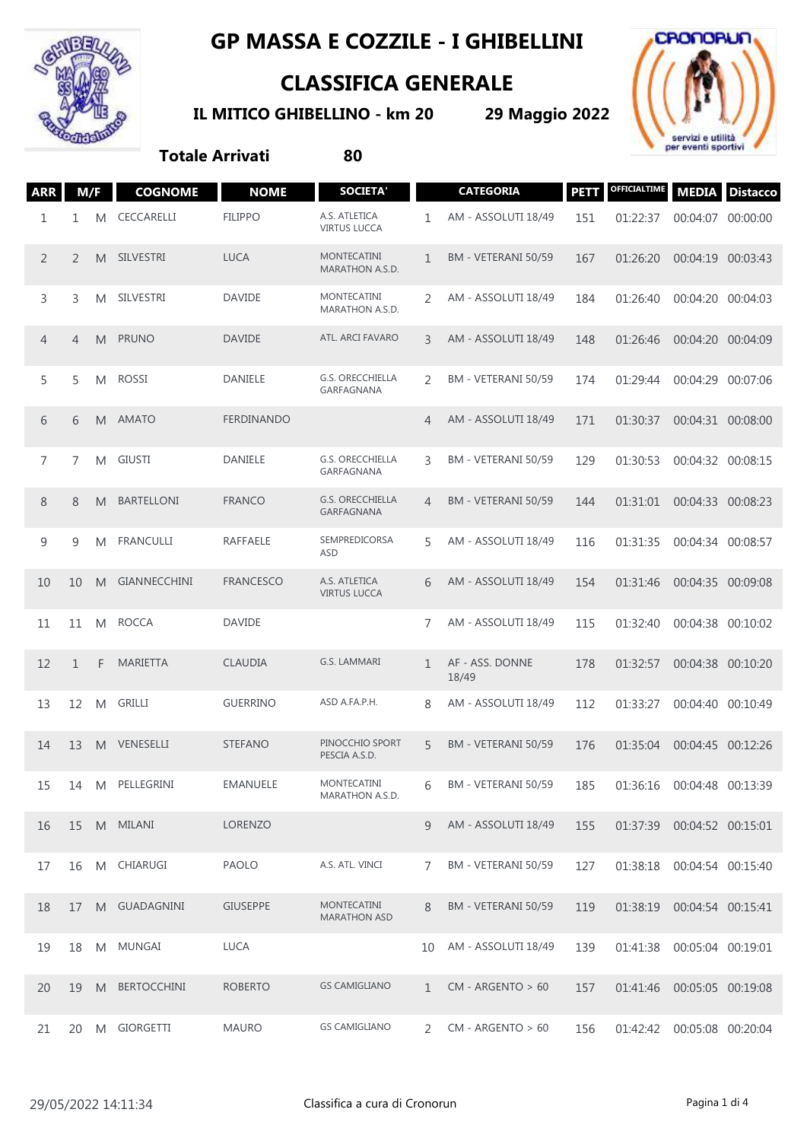

## **GP MASSA E COZZILE - I GHIBELLINI**

## **CLASSIFICA GENERALE**

**IL MITICO GHIBELLINO - km 20 29 Maggio 2022**



**Totale Arrivati 80**

| <b>ARR</b> | M/F          |   | <b>COGNOME</b>      | <b>NOME</b>      | <b>SOCIETA'</b>                           |               | <b>CATEGORIA</b>         | <b>PETT</b> | <b>OFFICIALTIME</b> |                   | <b>MEDIA</b> Distacco |
|------------|--------------|---|---------------------|------------------|-------------------------------------------|---------------|--------------------------|-------------|---------------------|-------------------|-----------------------|
| 1          | 1            | M | CECCARELLI          | <b>FILIPPO</b>   | A.S. ATLETICA<br><b>VIRTUS LUCCA</b>      | 1             | AM - ASSOLUTI 18/49      | 151         | 01:22:37            | 00:04:07 00:00:00 |                       |
| 2          | 2            | M | SILVESTRI           | <b>LUCA</b>      | <b>MONTECATINI</b><br>MARATHON A.S.D.     | $\mathbf{1}$  | BM - VETERANI 50/59      | 167         | 01:26:20            | 00:04:19 00:03:43 |                       |
| 3          | 3            | M | SILVESTRI           | <b>DAVIDE</b>    | MONTECATINI<br>MARATHON A.S.D.            | 2             | AM - ASSOLUTI 18/49      | 184         | 01:26:40            | 00:04:20 00:04:03 |                       |
| 4          | 4            | M | <b>PRUNO</b>        | <b>DAVIDE</b>    | ATL. ARCI FAVARO                          | 3             | AM - ASSOLUTI 18/49      | 148         | 01:26:46            | 00:04:20 00:04:09 |                       |
| 5          | 5            | M | <b>ROSSI</b>        | DANIELE          | G.S. ORECCHIELLA<br>GARFAGNANA            | 2             | BM - VETERANI 50/59      | 174         | 01:29:44            | 00:04:29 00:07:06 |                       |
| 6          | 6            | M | AMATO               | FERDINANDO       |                                           | 4             | AM - ASSOLUTI 18/49      | 171         | 01:30:37            | 00:04:31 00:08:00 |                       |
| 7          | 7            | M | <b>GIUSTI</b>       | DANIELE          | G.S. ORECCHIELLA<br>GARFAGNANA            | 3             | BM - VETERANI 50/59      | 129         | 01:30:53            | 00:04:32 00:08:15 |                       |
| 8          | 8            | M | BARTELLONI          | <b>FRANCO</b>    | G.S. ORECCHIELLA<br>GARFAGNANA            | 4             | BM - VETERANI 50/59      | 144         | 01:31:01            | 00:04:33 00:08:23 |                       |
| 9          | 9            | M | <b>FRANCULLI</b>    | RAFFAELE         | SEMPREDICORSA<br>ASD                      | 5             | AM - ASSOLUTI 18/49      | 116         | 01:31:35            | 00:04:34 00:08:57 |                       |
| 10         | 10           | M | <b>GIANNECCHINI</b> | <b>FRANCESCO</b> | A.S. ATLETICA<br><b>VIRTUS LUCCA</b>      | 6             | AM - ASSOLUTI 18/49      | 154         | 01:31:46            | 00:04:35 00:09:08 |                       |
| 11         | 11           | M | <b>ROCCA</b>        | <b>DAVIDE</b>    |                                           | 7             | AM - ASSOLUTI 18/49      | 115         | 01:32:40            | 00:04:38 00:10:02 |                       |
| 12         | $\mathbf{1}$ | F | <b>MARIETTA</b>     | <b>CLAUDIA</b>   | G.S. LAMMARI                              | $\mathbf{1}$  | AF - ASS. DONNE<br>18/49 | 178         | 01:32:57            | 00:04:38 00:10:20 |                       |
| 13         | 12           | M | <b>GRILLI</b>       | <b>GUERRINO</b>  | ASD A.FA.P.H.                             | 8             | AM - ASSOLUTI 18/49      | 112         | 01:33:27            | 00:04:40 00:10:49 |                       |
| 14         | 13           | M | VENESELLI           | <b>STEFANO</b>   | PINOCCHIO SPORT<br>PESCIA A.S.D.          | 5             | BM - VETERANI 50/59      | 176         | 01:35:04            | 00:04:45 00:12:26 |                       |
| 15         | 14           | M | PELLEGRINI          | EMANUELE         | <b>MONTECATINI</b><br>MARATHON A.S.D.     | 6             | BM - VETERANI 50/59      | 185         | 01:36:16            | 00:04:48 00:13:39 |                       |
| 16         | 15           |   | M MILANI            | <b>LORENZO</b>   |                                           | 9             | AM - ASSOLUTI 18/49      | 155         | 01:37:39            | 00:04:52 00:15:01 |                       |
| 17         | 16           | M | CHIARUGI            | PAOLO            | A.S. ATL. VINCI                           | 7             | BM - VETERANI 50/59      | 127         | 01:38:18            | 00:04:54 00:15:40 |                       |
| 18         | 17           | M | <b>GUADAGNINI</b>   | <b>GIUSEPPE</b>  | <b>MONTECATINI</b><br><b>MARATHON ASD</b> | 8             | BM - VETERANI 50/59      | 119         | 01:38:19            | 00:04:54 00:15:41 |                       |
| 19         | 18           | M | MUNGAI              | <b>LUCA</b>      |                                           | 10            | AM - ASSOLUTI 18/49      | 139         | 01:41:38            | 00:05:04 00:19:01 |                       |
| 20         | 19           | M | <b>BERTOCCHINI</b>  | <b>ROBERTO</b>   | <b>GS CAMIGLIANO</b>                      | $\mathbf{1}$  | $CM - ARGENTO > 60$      | 157         | 01:41:46            | 00:05:05 00:19:08 |                       |
| 21         | 20           | M | GIORGETTI           | <b>MAURO</b>     | <b>GS CAMIGLIANO</b>                      | $\mathcal{L}$ | $CM - ARGENTO > 60$      | 156         | 01:42:42            | 00:05:08 00:20:04 |                       |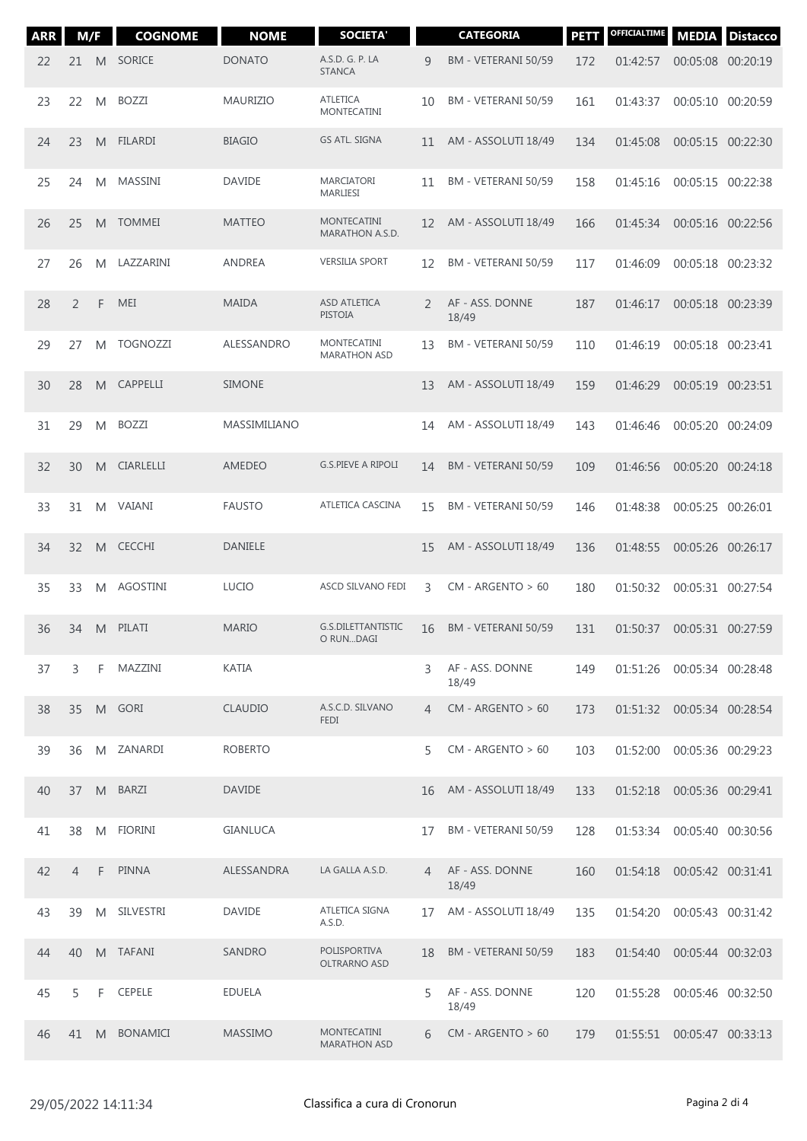| <b>ARR</b> | M/F            |    | <b>COGNOME</b>   | <b>NOME</b>     | <b>SOCIETA'</b>                           |    | <b>CATEGORIA</b>         | <b>PETT</b> | <b>OFFICIALTIME</b>          | <b>MEDIA</b>      | <b>Distacco</b> |
|------------|----------------|----|------------------|-----------------|-------------------------------------------|----|--------------------------|-------------|------------------------------|-------------------|-----------------|
| 22         | 21             | M  | <b>SORICE</b>    | <b>DONATO</b>   | A.S.D. G. P. LA<br><b>STANCA</b>          | 9  | BM - VETERANI 50/59      | 172         | 01:42:57                     | 00:05:08 00:20:19 |                 |
| 23         | 22             | M  | <b>BOZZI</b>     | <b>MAURIZIO</b> | <b>ATLETICA</b><br><b>MONTECATINI</b>     | 10 | BM - VETERANI 50/59      | 161         | 01:43:37                     | 00:05:10 00:20:59 |                 |
| 24         | 23             | M  | <b>FILARDI</b>   | <b>BIAGIO</b>   | <b>GS ATL. SIGNA</b>                      | 11 | AM - ASSOLUTI 18/49      | 134         | 01:45:08                     | 00:05:15 00:22:30 |                 |
| 25         | 24             | M  | MASSINI          | <b>DAVIDE</b>   | <b>MARCIATORI</b><br>MARLIESI             | 11 | BM - VETERANI 50/59      | 158         | 01:45:16                     | 00:05:15 00:22:38 |                 |
| 26         | 25             | M  | <b>TOMMEI</b>    | <b>MATTEO</b>   | <b>MONTECATINI</b><br>MARATHON A.S.D.     | 12 | AM - ASSOLUTI 18/49      | 166         | 01:45:34                     | 00:05:16 00:22:56 |                 |
| 27         | 26             | M  | LAZZARINI        | ANDREA          | <b>VERSILIA SPORT</b>                     | 12 | BM - VETERANI 50/59      | 117         | 01:46:09                     | 00:05:18 00:23:32 |                 |
| 28         | 2              | F  | MEI              | <b>MAIDA</b>    | <b>ASD ATLETICA</b><br><b>PISTOIA</b>     | 2  | AF - ASS. DONNE<br>18/49 | 187         | 01:46:17                     | 00:05:18 00:23:39 |                 |
| 29         | 27             | M  | <b>TOGNOZZI</b>  | ALESSANDRO      | <b>MONTECATINI</b><br><b>MARATHON ASD</b> | 13 | BM - VETERANI 50/59      | 110         | 01:46:19                     | 00:05:18 00:23:41 |                 |
| 30         | 28             | M  | <b>CAPPELLI</b>  | <b>SIMONE</b>   |                                           | 13 | AM - ASSOLUTI 18/49      | 159         | 01:46:29                     | 00:05:19 00:23:51 |                 |
| 31         | 29             | M  | <b>BOZZI</b>     | MASSIMILIANO    |                                           | 14 | AM - ASSOLUTI 18/49      | 143         | 01:46:46                     | 00:05:20 00:24:09 |                 |
| 32         | 30             | M  | <b>CIARLELLI</b> | <b>AMEDEO</b>   | <b>G.S.PIEVE A RIPOLI</b>                 | 14 | BM - VETERANI 50/59      | 109         | 01:46:56                     | 00:05:20 00:24:18 |                 |
| 33         | 31             | M  | VAIANI           | <b>FAUSTO</b>   | ATLETICA CASCINA                          | 15 | BM - VETERANI 50/59      | 146         | 01:48:38                     | 00:05:25 00:26:01 |                 |
| 34         | 32             | M  | <b>CECCHI</b>    | <b>DANIELE</b>  |                                           | 15 | AM - ASSOLUTI 18/49      | 136         | 01:48:55                     | 00:05:26 00:26:17 |                 |
| 35         | 33             | M  | <b>AGOSTINI</b>  | <b>LUCIO</b>    | ASCD SILVANO FEDI                         | 3  | $CM - ARGENTO > 60$      | 180         | 01:50:32                     | 00:05:31 00:27:54 |                 |
| 36         | 34             | M  | PILATI           | <b>MARIO</b>    | G.S.DILETTANTISTIC<br>O RUNDAGI           | 16 | BM - VETERANI 50/59      | 131         | 01:50:37                     | 00:05:31 00:27:59 |                 |
| 37         | 3              | F. | MAZZINI          | KATIA           |                                           | 3  | AF - ASS, DONNE<br>18/49 | 149         | 01:51:26 00:05:34 00:28:48   |                   |                 |
| 38         | 35             |    | M GORI           | <b>CLAUDIO</b>  | A.S.C.D. SILVANO<br><b>FEDI</b>           | 4  | $CM - ARGENTO > 60$      | 173         | 01:51:32  00:05:34  00:28:54 |                   |                 |
| 39         | 36             | M  | ZANARDI          | <b>ROBERTO</b>  |                                           | 5  | $CM - ARGENTO > 60$      | 103         | 01:52:00                     | 00:05:36 00:29:23 |                 |
| 40         | 37             | M  | <b>BARZI</b>     | <b>DAVIDE</b>   |                                           | 16 | AM - ASSOLUTI 18/49      | 133         | 01:52:18 00:05:36 00:29:41   |                   |                 |
| 41         | 38             | M  | <b>FIORINI</b>   | <b>GIANLUCA</b> |                                           | 17 | BM - VETERANI 50/59      | 128         | 01:53:34 00:05:40 00:30:56   |                   |                 |
| 42         | $\overline{4}$ | F. | <b>PINNA</b>     | ALESSANDRA      | LA GALLA A.S.D.                           | 4  | AF - ASS. DONNE<br>18/49 | 160         | 01:54:18  00:05:42  00:31:41 |                   |                 |
| 43         | 39             | M  | SILVESTRI        | <b>DAVIDE</b>   | ATLETICA SIGNA<br>A.S.D.                  | 17 | AM - ASSOLUTI 18/49      | 135         | 01:54:20                     | 00:05:43 00:31:42 |                 |
| 44         | 40             |    | M TAFANI         | SANDRO          | POLISPORTIVA<br>OLTRARNO ASD              | 18 | BM - VETERANI 50/59      | 183         | 01:54:40                     | 00:05:44 00:32:03 |                 |
| 45         | 5              | F  | CEPELE           | <b>EDUELA</b>   |                                           | 5  | AF - ASS. DONNE<br>18/49 | 120         | 01:55:28                     | 00:05:46 00:32:50 |                 |
| 46         | 41             |    | M BONAMICI       | <b>MASSIMO</b>  | <b>MONTECATINI</b><br><b>MARATHON ASD</b> | 6  | $CM - ARGENTO > 60$      | 179         |                              |                   |                 |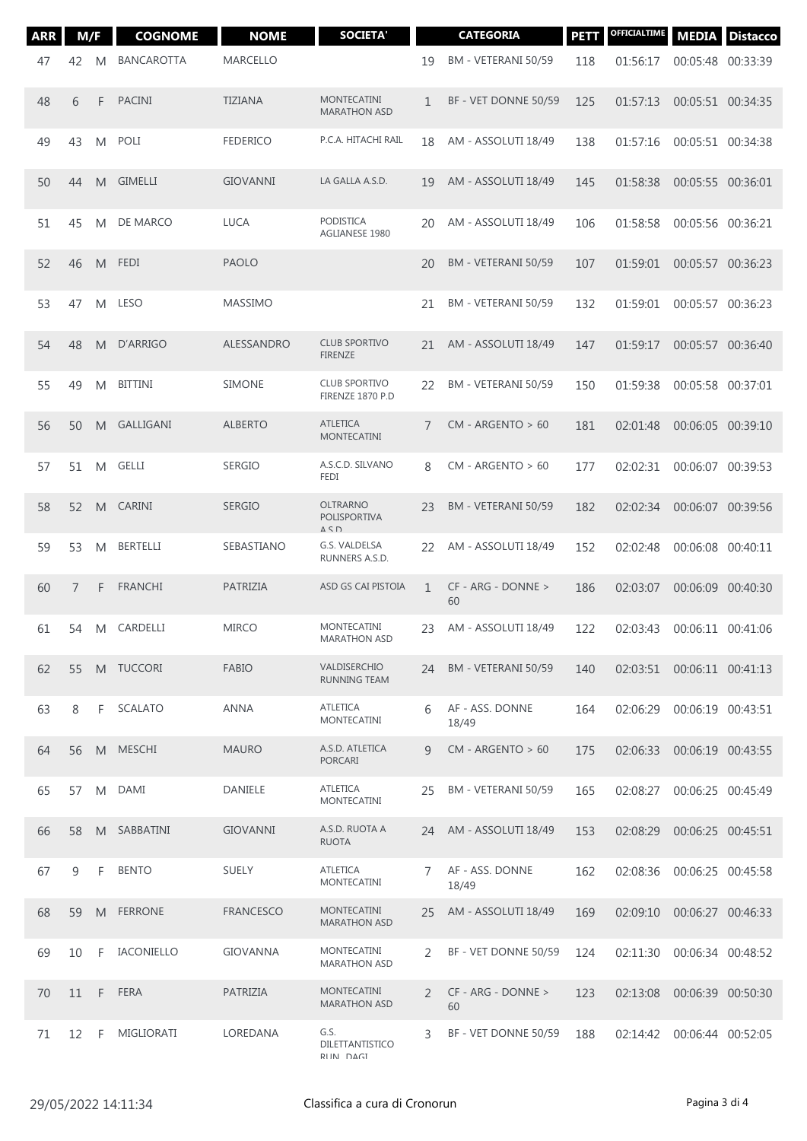| <b>ARR</b> | M/F            |   | <b>COGNOME</b>    | <b>NOME</b>      | <b>SOCIETA'</b>                                       |                | <b>CATEGORIA</b>           | <b>PETT</b> | OFFICIALTIME | <b>MEDIA</b>                 | <b>Distacco</b> |
|------------|----------------|---|-------------------|------------------|-------------------------------------------------------|----------------|----------------------------|-------------|--------------|------------------------------|-----------------|
| 47         | 42             | M | <b>BANCAROTTA</b> | <b>MARCELLO</b>  |                                                       | 19             | BM - VETERANI 50/59        | 118         | 01:56:17     | 00:05:48 00:33:39            |                 |
| 48         | 6              | F | <b>PACINI</b>     | <b>TIZIANA</b>   | <b>MONTECATINI</b><br><b>MARATHON ASD</b>             | 1              | BF - VET DONNE 50/59       | 125         | 01:57:13     | 00:05:51 00:34:35            |                 |
| 49         | 43             | M | POLI              | <b>FEDERICO</b>  | P.C.A. HITACHI RAIL                                   | 18             | AM - ASSOLUTI 18/49        | 138         | 01:57:16     | 00:05:51 00:34:38            |                 |
| 50         | 44             | M | <b>GIMELLI</b>    | <b>GIOVANNI</b>  | LA GALLA A.S.D.                                       | 19             | AM - ASSOLUTI 18/49        | 145         | 01:58:38     | 00:05:55 00:36:01            |                 |
| 51         | 45             | M | DE MARCO          | <b>LUCA</b>      | <b>PODISTICA</b><br>AGLIANESE 1980                    | 20             | AM - ASSOLUTI 18/49        | 106         | 01:58:58     | 00:05:56 00:36:21            |                 |
| 52         | 46             | M | <b>FEDI</b>       | <b>PAOLO</b>     |                                                       | 20             | BM - VETERANI 50/59        | 107         | 01:59:01     | 00:05:57 00:36:23            |                 |
| 53         | 47             | M | <b>LESO</b>       | <b>MASSIMO</b>   |                                                       | 21             | BM - VETERANI 50/59        | 132         | 01:59:01     | 00:05:57 00:36:23            |                 |
| 54         | 48             | M | D'ARRIGO          | ALESSANDRO       | <b>CLUB SPORTIVO</b><br><b>FIRENZE</b>                | 21             | AM - ASSOLUTI 18/49        | 147         | 01:59:17     | 00:05:57 00:36:40            |                 |
| 55         | 49             | M | <b>BITTINI</b>    | <b>SIMONE</b>    | <b>CLUB SPORTIVO</b><br>FIRENZE 1870 P.D              | 22             | BM - VETERANI 50/59        | 150         | 01:59:38     | 00:05:58 00:37:01            |                 |
| 56         | 50             | M | GALLIGANI         | <b>ALBERTO</b>   | <b>ATLETICA</b><br><b>MONTECATINI</b>                 | 7              | $CM - ARGENTO > 60$        | 181         | 02:01:48     | 00:06:05 00:39:10            |                 |
| 57         | 51             | M | GELLI             | <b>SERGIO</b>    | A.S.C.D. SILVANO<br>FEDI                              | 8              | $CM - ARGENTO > 60$        | 177         | 02:02:31     | 00:06:07 00:39:53            |                 |
| 58         | 52             | M | <b>CARINI</b>     | <b>SERGIO</b>    | OLTRARNO<br>POLISPORTIVA<br>$\Delta$ $\zeta$ $\Gamma$ | 23             | BM - VETERANI 50/59        | 182         | 02:02:34     | 00:06:07 00:39:56            |                 |
| 59         | 53             | M | <b>BERTELLI</b>   | SEBASTIANO       | G.S. VALDELSA<br>RUNNERS A.S.D.                       | 22             | AM - ASSOLUTI 18/49        | 152         | 02:02:48     | 00:06:08                     | 00:40:11        |
| 60         | $\overline{7}$ | F | <b>FRANCHI</b>    | PATRIZIA         | ASD GS CAI PISTOIA                                    | $\mathbf{1}$   | $CF - ARG - DONNE >$<br>60 | 186         | 02:03:07     | 00:06:09 00:40:30            |                 |
| 61         | 54             | M | CARDELLI          | <b>MIRCO</b>     | MONTECATINI<br><b>MARATHON ASD</b>                    | 23             | AM - ASSOLUTI 18/49        | 122         | 02:03:43     | 00:06:11 00:41:06            |                 |
| 62         | 55             |   | M TUCCORI         | <b>FABIO</b>     | VALDISERCHIO<br>RUNNING TEAM                          | 24             | BM - VETERANI 50/59        | 140         |              | 02:03:51  00:06:11  00:41:13 |                 |
| 63         | 8              | F | <b>SCALATO</b>    | ANNA             | <b>ATLETICA</b><br><b>MONTECATINI</b>                 | 6              | AF - ASS. DONNE<br>18/49   | 164         | 02:06:29     | 00:06:19 00:43:51            |                 |
| 64         | 56             |   | M MESCHI          | <b>MAURO</b>     | A.S.D. ATLETICA<br><b>PORCARI</b>                     | q              | $CM - ARGENTO > 60$        | 175         | 02:06:33     | 00:06:19 00:43:55            |                 |
| 65         | 57             | M | DAMI              | <b>DANIELE</b>   | <b>ATLETICA</b><br><b>MONTECATINI</b>                 | 25             | BM - VETERANI 50/59        | 165         | 02:08:27     | 00:06:25 00:45:49            |                 |
| 66         | 58             | M | SABBATINI         | <b>GIOVANNI</b>  | A.S.D. RUOTA A<br><b>RUOTA</b>                        | 24             | AM - ASSOLUTI 18/49        | 153         | 02:08:29     | 00:06:25 00:45:51            |                 |
| 67         | 9              | F | <b>BENTO</b>      | <b>SUELY</b>     | <b>ATLETICA</b><br><b>MONTECATINI</b>                 | $\overline{7}$ | AF - ASS. DONNE<br>18/49   | 162         | 02:08:36     | 00:06:25 00:45:58            |                 |
| 68         | 59             | M | <b>FERRONE</b>    | <b>FRANCESCO</b> | MONTECATINI<br><b>MARATHON ASD</b>                    | 25             | AM - ASSOLUTI 18/49        | 169         | 02:09:10     | 00:06:27 00:46:33            |                 |
| 69         | 10             | F | IACONIELLO        | <b>GIOVANNA</b>  | MONTECATINI<br><b>MARATHON ASD</b>                    | $\mathcal{P}$  | BF - VET DONNE 50/59       | 124         | 02:11:30     | 00:06:34 00:48:52            |                 |
| 70         | 11             | F | <b>FERA</b>       | PATRIZIA         | MONTECATINI<br><b>MARATHON ASD</b>                    | 2              | CF - ARG - DONNE ><br>60   | 123         | 02:13:08     | 00:06:39 00:50:30            |                 |
| 71         | 12             | F | MIGLIORATI        | LOREDANA         | G.S.<br>DILETTANTISTICO<br>RIIN DAGI                  | 3              | BF - VET DONNE 50/59       | 188         | 02:14:42     | 00:06:44 00:52:05            |                 |